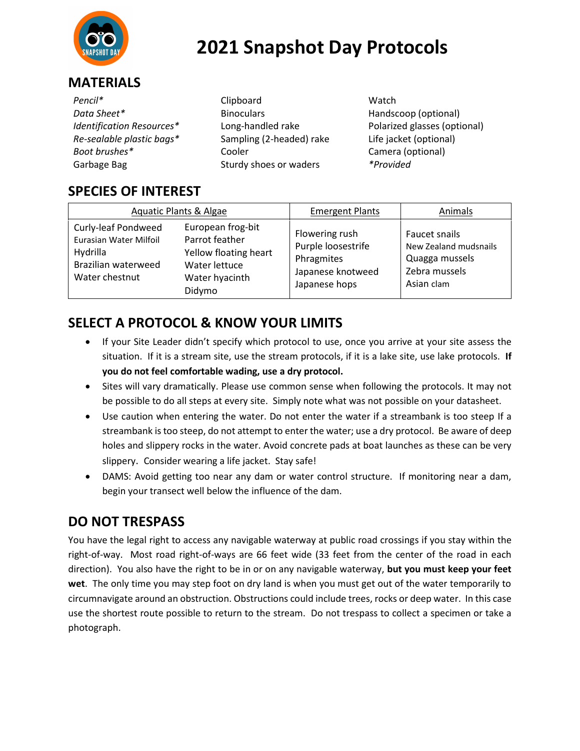

### **2021 Snapshot Day Protocols**

#### **MATERIALS**

Pencil<sup>\*</sup> Clipboard Clipboard Watch **Data Sheet\* Binoculars** Binoculars **Handscoop** (optional) *Re-sealable plastic bags\** Sampling (2-headed) rake Life jacket (optional) **Boot brushes\*** Cooler Cooler Camera (optional) Garbage Bag **Sturdy shoes or waders** *\*Provided* 

*Identification Resources*\* Long-handled rake Polarized glasses (optional)

### **SPECIES OF INTEREST**

| <b>Aquatic Plants &amp; Algae</b>                                                                         |                                                                                                           | <b>Emergent Plants</b>                                                                   | Animals                                                                                 |
|-----------------------------------------------------------------------------------------------------------|-----------------------------------------------------------------------------------------------------------|------------------------------------------------------------------------------------------|-----------------------------------------------------------------------------------------|
| <b>Curly-leaf Pondweed</b><br>Eurasian Water Milfoil<br>Hydrilla<br>Brazilian waterweed<br>Water chestnut | European frog-bit<br>Parrot feather<br>Yellow floating heart<br>Water lettuce<br>Water hyacinth<br>Didymo | Flowering rush<br>Purple loosestrife<br>Phragmites<br>Japanese knotweed<br>Japanese hops | Faucet snails<br>New Zealand mudsnails<br>Quagga mussels<br>Zebra mussels<br>Asian clam |

### **SELECT A PROTOCOL & KNOW YOUR LIMITS**

- If your Site Leader didn't specify which protocol to use, once you arrive at your site assess the situation. If it is a stream site, use the stream protocols, if it is a lake site, use lake protocols. **If you do not feel comfortable wading, use a dry protocol.**
- Sites will vary dramatically. Please use common sense when following the protocols. It may not be possible to do all steps at every site. Simply note what was not possible on your datasheet.
- Use caution when entering the water. Do not enter the water if a streambank is too steep If a streambank is too steep, do not attempt to enter the water; use a dry protocol. Be aware of deep holes and slippery rocks in the water. Avoid concrete pads at boat launches as these can be very slippery. Consider wearing a life jacket. Stay safe!
- DAMS: Avoid getting too near any dam or water control structure. If monitoring near a dam, begin your transect well below the influence of the dam.

### **DO NOT TRESPASS**

You have the legal right to access any navigable waterway at public road crossings if you stay within the right-of-way. Most road right-of-ways are 66 feet wide (33 feet from the center of the road in each direction). You also have the right to be in or on any navigable waterway, **but you must keep your feet wet**. The only time you may step foot on dry land is when you must get out of the water temporarily to circumnavigate around an obstruction. Obstructions could include trees, rocks or deep water. In this case use the shortest route possible to return to the stream. Do not trespass to collect a specimen or take a photograph.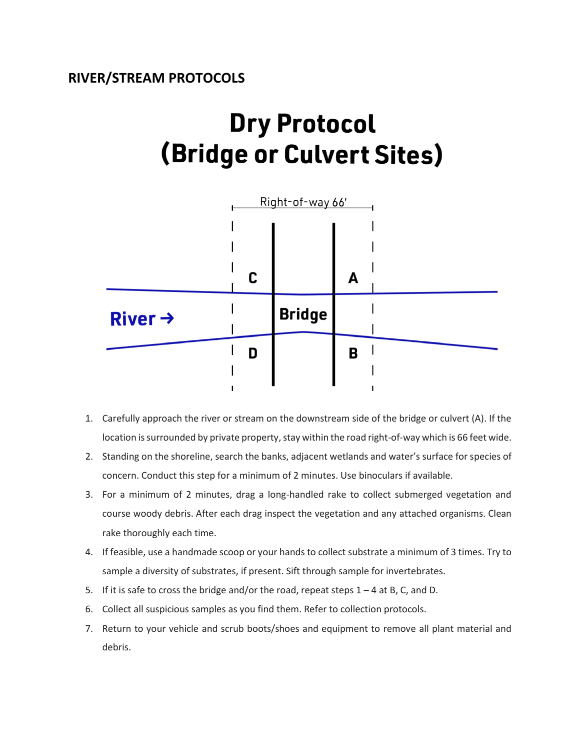## **Dry Protocol (Bridge or Culvert Sites)**



- 1. Carefully approach the river or stream on the downstream side of the bridge or culvert (A). If the location is surrounded by private property, stay within the road right-of-way which is 66 feet wide.
- 2. Standing on the shoreline, search the banks, adjacent wetlands and water's surface for species of concern. Conduct this step for a minimum of 2 minutes. Use binoculars if available.
- 3. For a minimum of 2 minutes, drag a long-handled rake to collect submerged vegetation and course woody debris. After each drag inspect the vegetation and any attached organisms. Clean rake thoroughly each time.
- 4. If feasible, use a handmade scoop or your hands to collect substrate a minimum of 3 times. Try to sample a diversity of substrates, if present. Sift through sample for invertebrates.
- 5. If it is safe to cross the bridge and/or the road, repeat steps  $1 4$  at B, C, and D.
- 6. Collect all suspicious samples as you find them. Refer to collection protocols.
- 7. Return to your vehicle and scrub boots/shoes and equipment to remove all plant material and debris.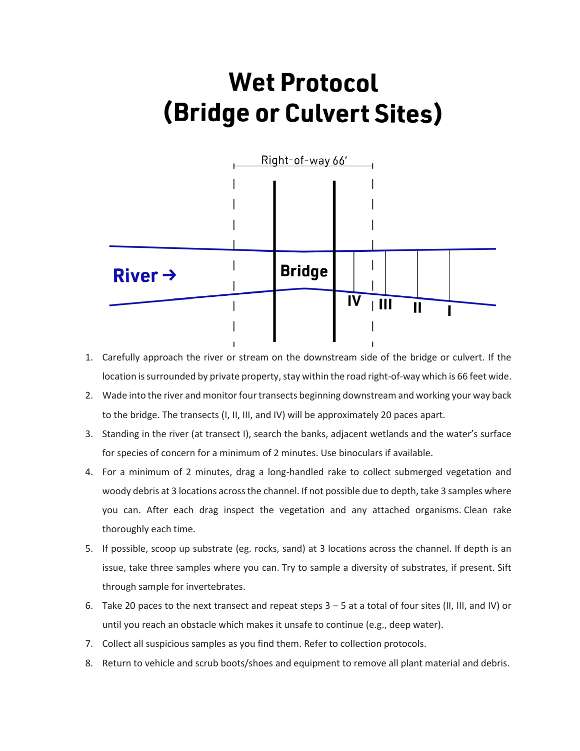### **Wet Protocol (Bridge or Culvert Sites)**



- 1. Carefully approach the river or stream on the downstream side of the bridge or culvert. If the location is surrounded by private property, stay within the road right-of-way which is 66 feet wide.
- 2. Wade into the river and monitor four transects beginning downstream and working your way back to the bridge. The transects (I, II, III, and IV) will be approximately 20 paces apart.
- 3. Standing in the river (at transect I), search the banks, adjacent wetlands and the water's surface for species of concern for a minimum of 2 minutes. Use binoculars if available.
- 4. For a minimum of 2 minutes, drag a long-handled rake to collect submerged vegetation and woody debris at 3 locations across the channel. If not possible due to depth, take 3 samples where you can. After each drag inspect the vegetation and any attached organisms. Clean rake thoroughly each time.
- 5. If possible, scoop up substrate (eg. rocks, sand) at 3 locations across the channel. If depth is an issue, take three samples where you can. Try to sample a diversity of substrates, if present. Sift through sample for invertebrates.
- 6. Take 20 paces to the next transect and repeat steps 3 5 at a total of four sites (II, III, and IV) or until you reach an obstacle which makes it unsafe to continue (e.g., deep water).
- 7. Collect all suspicious samples as you find them. Refer to collection protocols.
- 8. Return to vehicle and scrub boots/shoes and equipment to remove all plant material and debris.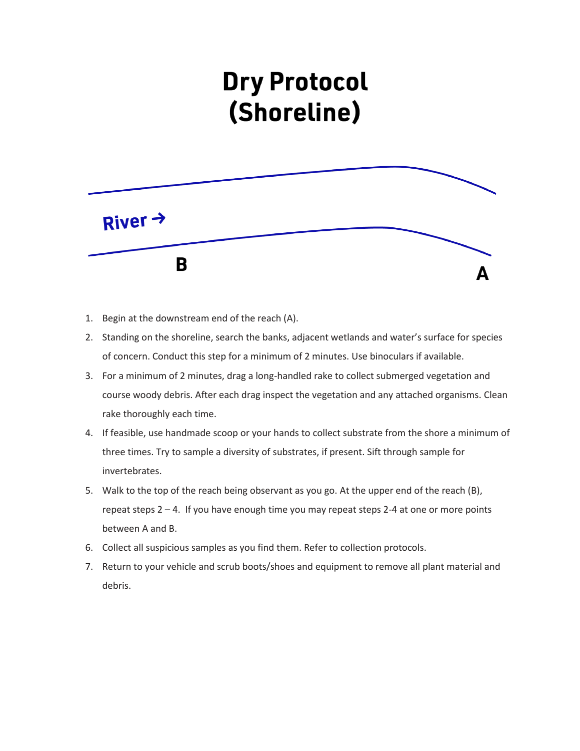## **Dry Protocol** (Shoreline)



- 1. Begin at the downstream end of the reach (A).
- 2. Standing on the shoreline, search the banks, adjacent wetlands and water's surface for species of concern. Conduct this step for a minimum of 2 minutes. Use binoculars if available.
- 3. For a minimum of 2 minutes, drag a long-handled rake to collect submerged vegetation and course woody debris. After each drag inspect the vegetation and any attached organisms. Clean rake thoroughly each time.
- 4. If feasible, use handmade scoop or your hands to collect substrate from the shore a minimum of three times. Try to sample a diversity of substrates, if present. Sift through sample for invertebrates.
- 5. Walk to the top of the reach being observant as you go. At the upper end of the reach (B), repeat steps  $2 - 4$ . If you have enough time you may repeat steps  $2-4$  at one or more points between A and B.
- 6. Collect all suspicious samples as you find them. Refer to collection protocols.
- 7. Return to your vehicle and scrub boots/shoes and equipment to remove all plant material and debris.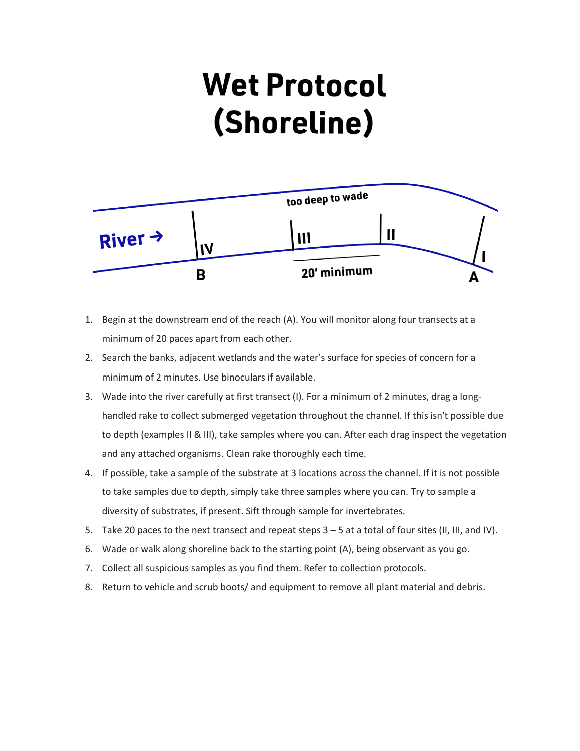# **Wet Protocol** (Shoreline)



- 1. Begin at the downstream end of the reach (A). You will monitor along four transects at a minimum of 20 paces apart from each other.
- 2. Search the banks, adjacent wetlands and the water's surface for species of concern for a minimum of 2 minutes. Use binoculars if available.
- 3. Wade into the river carefully at first transect (I). For a minimum of 2 minutes, drag a longhandled rake to collect submerged vegetation throughout the channel. If this isn't possible due to depth (examples II & III), take samples where you can. After each drag inspect the vegetation and any attached organisms. Clean rake thoroughly each time.
- 4. If possible, take a sample of the substrate at 3 locations across the channel. If it is not possible to take samples due to depth, simply take three samples where you can. Try to sample a diversity of substrates, if present. Sift through sample for invertebrates.
- 5. Take 20 paces to the next transect and repeat steps 3 5 at a total of four sites (II, III, and IV).
- 6. Wade or walk along shoreline back to the starting point (A), being observant as you go.
- 7. Collect all suspicious samples as you find them. Refer to collection protocols.
- 8. Return to vehicle and scrub boots/ and equipment to remove all plant material and debris.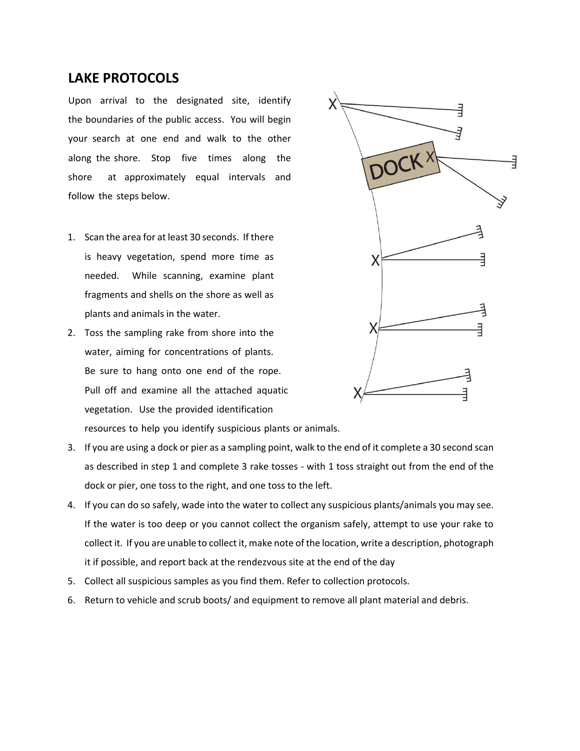#### **LAKE PROTOCOLS**

Upon arrival to the designated site, identify the boundaries of the public access. You will begin your search at one end and walk to the other along the shore. Stop five times along the shore at approximately equal intervals and follow the steps below.

- 1. Scan the area for at least 30 seconds. If there is heavy vegetation, spend more time as needed. While scanning, examine plant fragments and shells on the shore as well as plants and animals in the water.
- 2. Toss the sampling rake from shore into the water, aiming for concentrations of plants. Be sure to hang onto one end of the rope. Pull off and examine all the attached aquatic vegetation. Use the provided identification



resources to help you identify suspicious plants or animals.

- 3. If you are using a dock or pier as a sampling point, walk to the end of it complete a 30 second scan as described in step 1 and complete 3 rake tosses - with 1 toss straight out from the end of the dock or pier, one toss to the right, and one toss to the left.
- 4. If you can do so safely, wade into the water to collect any suspicious plants/animals you may see. If the water is too deep or you cannot collect the organism safely, attempt to use your rake to collect it. If you are unable to collect it, make note of the location, write a description, photograph it if possible, and report back at the rendezvous site at the end of the day
- 5. Collect all suspicious samples as you find them. Refer to collection protocols.
- 6. Return to vehicle and scrub boots/ and equipment to remove all plant material and debris.